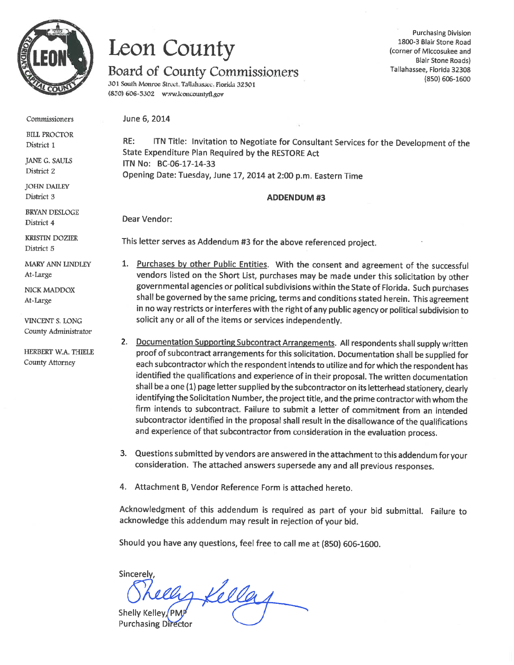

# Leon County

# Board of County Commissioners

301 South Monroe Street, Tallahassec, Florida 32301 (850) 606-5302 www.lconcountyfl.gov

**Purchasing Division** 1800-3 Blair Stone Road (corner of Miccosukee and **Blair Stone Roads)** Tallahassee, Florida 32308 (850) 606-1600

Commissioners

**BILL PROCTOR** District 1

JANE G. SAULS District 2

**JOHN DAILEY** District 3

**BRYAN DESLOGE** District 4

**KRISTIN DOZIER** District 5

MARY ANN LINDLEY At-Large

NICK MADDOX At-Large

VINCENT S. LONG County Administrator

HERBERT W.A. THIELE County Attorney

June 6, 2014

ITN Title: Invitation to Negotiate for Consultant Services for the Development of the  $RE:$ State Expenditure Plan Required by the RESTORE Act ITN No: BC-06-17-14-33 Opening Date: Tuesday, June 17, 2014 at 2:00 p.m. Eastern Time

### **ADDENDUM#3**

Dear Vendor:

This letter serves as Addendum #3 for the above referenced project.

- 1. Purchases by other Public Entities. With the consent and agreement of the successful vendors listed on the Short List, purchases may be made under this solicitation by other governmental agencies or political subdivisions within the State of Florida. Such purchases shall be governed by the same pricing, terms and conditions stated herein. This agreement in no way restricts or interferes with the right of any public agency or political subdivision to solicit any or all of the items or services independently.
- 2. Documentation Supporting Subcontract Arrangements. All respondents shall supply written proof of subcontract arrangements for this solicitation. Documentation shall be supplied for each subcontractor which the respondent intends to utilize and for which the respondent has identified the qualifications and experience of in their proposal. The written documentation shall be a one (1) page letter supplied by the subcontractor on its letterhead stationery, clearly identifying the Solicitation Number, the project title, and the prime contractor with whom the firm intends to subcontract. Failure to submit a letter of commitment from an intended subcontractor identified in the proposal shall result in the disallowance of the qualifications and experience of that subcontractor from consideration in the evaluation process.
- 3. Questions submitted by vendors are answered in the attachment to this addendum for your consideration. The attached answers supersede any and all previous responses.
- 4. Attachment B, Vendor Reference Form is attached hereto.

Acknowledgment of this addendum is required as part of your bid submittal. Failure to acknowledge this addendum may result in rejection of your bid.

Should you have any questions, feel free to call me at (850) 606-1600.

Sincerely hs Kella Shelly Kelley, PMJ **Purchasing Director**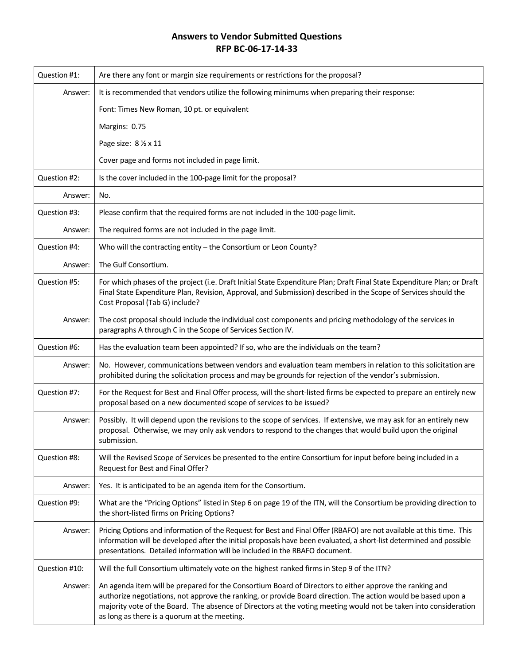# **Answers to Vendor Submitted Questions RFP BC‐06‐17‐14‐33**

| Question #1:  | Are there any font or margin size requirements or restrictions for the proposal?                                                                                                                                                                                                                                                                                                             |
|---------------|----------------------------------------------------------------------------------------------------------------------------------------------------------------------------------------------------------------------------------------------------------------------------------------------------------------------------------------------------------------------------------------------|
| Answer:       | It is recommended that vendors utilize the following minimums when preparing their response:                                                                                                                                                                                                                                                                                                 |
|               | Font: Times New Roman, 10 pt. or equivalent                                                                                                                                                                                                                                                                                                                                                  |
|               | Margins: 0.75                                                                                                                                                                                                                                                                                                                                                                                |
|               | Page size: 8 1/2 x 11                                                                                                                                                                                                                                                                                                                                                                        |
|               | Cover page and forms not included in page limit.                                                                                                                                                                                                                                                                                                                                             |
| Question #2:  | Is the cover included in the 100-page limit for the proposal?                                                                                                                                                                                                                                                                                                                                |
| Answer:       | No.                                                                                                                                                                                                                                                                                                                                                                                          |
| Question #3:  | Please confirm that the required forms are not included in the 100-page limit.                                                                                                                                                                                                                                                                                                               |
| Answer:       | The required forms are not included in the page limit.                                                                                                                                                                                                                                                                                                                                       |
| Question #4:  | Who will the contracting entity - the Consortium or Leon County?                                                                                                                                                                                                                                                                                                                             |
| Answer:       | The Gulf Consortium.                                                                                                                                                                                                                                                                                                                                                                         |
| Question #5:  | For which phases of the project (i.e. Draft Initial State Expenditure Plan; Draft Final State Expenditure Plan; or Draft<br>Final State Expenditure Plan, Revision, Approval, and Submission) described in the Scope of Services should the<br>Cost Proposal (Tab G) include?                                                                                                                |
| Answer:       | The cost proposal should include the individual cost components and pricing methodology of the services in<br>paragraphs A through C in the Scope of Services Section IV.                                                                                                                                                                                                                    |
| Question #6:  | Has the evaluation team been appointed? If so, who are the individuals on the team?                                                                                                                                                                                                                                                                                                          |
| Answer:       | No. However, communications between vendors and evaluation team members in relation to this solicitation are<br>prohibited during the solicitation process and may be grounds for rejection of the vendor's submission.                                                                                                                                                                      |
| Question #7:  | For the Request for Best and Final Offer process, will the short-listed firms be expected to prepare an entirely new<br>proposal based on a new documented scope of services to be issued?                                                                                                                                                                                                   |
| Answer:       | Possibly. It will depend upon the revisions to the scope of services. If extensive, we may ask for an entirely new<br>proposal. Otherwise, we may only ask vendors to respond to the changes that would build upon the original<br>submission.                                                                                                                                               |
| Question #8:  | Will the Revised Scope of Services be presented to the entire Consortium for input before being included in a<br>Request for Best and Final Offer?                                                                                                                                                                                                                                           |
| Answer:       | Yes. It is anticipated to be an agenda item for the Consortium.                                                                                                                                                                                                                                                                                                                              |
| Question #9:  | What are the "Pricing Options" listed in Step 6 on page 19 of the ITN, will the Consortium be providing direction to<br>the short-listed firms on Pricing Options?                                                                                                                                                                                                                           |
| Answer:       | Pricing Options and information of the Request for Best and Final Offer (RBAFO) are not available at this time. This<br>information will be developed after the initial proposals have been evaluated, a short-list determined and possible<br>presentations. Detailed information will be included in the RBAFO document.                                                                   |
| Question #10: | Will the full Consortium ultimately vote on the highest ranked firms in Step 9 of the ITN?                                                                                                                                                                                                                                                                                                   |
| Answer:       | An agenda item will be prepared for the Consortium Board of Directors to either approve the ranking and<br>authorize negotiations, not approve the ranking, or provide Board direction. The action would be based upon a<br>majority vote of the Board. The absence of Directors at the voting meeting would not be taken into consideration<br>as long as there is a quorum at the meeting. |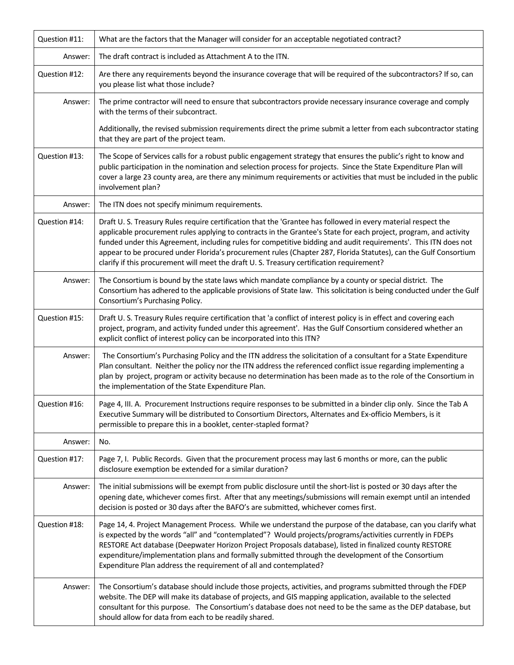| Question #11: | What are the factors that the Manager will consider for an acceptable negotiated contract?                                                                                                                                                                                                                                                                                                                                                                                                                                                                            |
|---------------|-----------------------------------------------------------------------------------------------------------------------------------------------------------------------------------------------------------------------------------------------------------------------------------------------------------------------------------------------------------------------------------------------------------------------------------------------------------------------------------------------------------------------------------------------------------------------|
| Answer:       | The draft contract is included as Attachment A to the ITN.                                                                                                                                                                                                                                                                                                                                                                                                                                                                                                            |
| Question #12: | Are there any requirements beyond the insurance coverage that will be required of the subcontractors? If so, can<br>you please list what those include?                                                                                                                                                                                                                                                                                                                                                                                                               |
| Answer:       | The prime contractor will need to ensure that subcontractors provide necessary insurance coverage and comply<br>with the terms of their subcontract.                                                                                                                                                                                                                                                                                                                                                                                                                  |
|               | Additionally, the revised submission requirements direct the prime submit a letter from each subcontractor stating<br>that they are part of the project team.                                                                                                                                                                                                                                                                                                                                                                                                         |
| Question #13: | The Scope of Services calls for a robust public engagement strategy that ensures the public's right to know and<br>public participation in the nomination and selection process for projects. Since the State Expenditure Plan will<br>cover a large 23 county area, are there any minimum requirements or activities that must be included in the public<br>involvement plan?                                                                                                                                                                                        |
| Answer:       | The ITN does not specify minimum requirements.                                                                                                                                                                                                                                                                                                                                                                                                                                                                                                                        |
| Question #14: | Draft U.S. Treasury Rules require certification that the 'Grantee has followed in every material respect the<br>applicable procurement rules applying to contracts in the Grantee's State for each project, program, and activity<br>funded under this Agreement, including rules for competitive bidding and audit requirements'. This ITN does not<br>appear to be procured under Florida's procurement rules (Chapter 287, Florida Statutes), can the Gulf Consortium<br>clarify if this procurement will meet the draft U. S. Treasury certification requirement? |
| Answer:       | The Consortium is bound by the state laws which mandate compliance by a county or special district. The<br>Consortium has adhered to the applicable provisions of State law. This solicitation is being conducted under the Gulf<br>Consortium's Purchasing Policy.                                                                                                                                                                                                                                                                                                   |
| Question #15: | Draft U.S. Treasury Rules require certification that 'a conflict of interest policy is in effect and covering each<br>project, program, and activity funded under this agreement'. Has the Gulf Consortium considered whether an<br>explicit conflict of interest policy can be incorporated into this ITN?                                                                                                                                                                                                                                                           |
| Answer:       | The Consortium's Purchasing Policy and the ITN address the solicitation of a consultant for a State Expenditure<br>Plan consultant. Neither the policy nor the ITN address the referenced conflict issue regarding implementing a<br>plan by project, program or activity because no determination has been made as to the role of the Consortium in<br>the implementation of the State Expenditure Plan.                                                                                                                                                             |
| Question #16: | Page 4, III. A. Procurement Instructions require responses to be submitted in a binder clip only. Since the Tab A<br>Executive Summary will be distributed to Consortium Directors, Alternates and Ex-officio Members, is it<br>permissible to prepare this in a booklet, center-stapled format?                                                                                                                                                                                                                                                                      |
| Answer:       | No.                                                                                                                                                                                                                                                                                                                                                                                                                                                                                                                                                                   |
| Question #17: | Page 7, I. Public Records. Given that the procurement process may last 6 months or more, can the public<br>disclosure exemption be extended for a similar duration?                                                                                                                                                                                                                                                                                                                                                                                                   |
| Answer:       | The initial submissions will be exempt from public disclosure until the short-list is posted or 30 days after the<br>opening date, whichever comes first. After that any meetings/submissions will remain exempt until an intended<br>decision is posted or 30 days after the BAFO's are submitted, whichever comes first.                                                                                                                                                                                                                                            |
| Question #18: | Page 14, 4. Project Management Process. While we understand the purpose of the database, can you clarify what<br>is expected by the words "all" and "contemplated"? Would projects/programs/activities currently in FDEPs<br>RESTORE Act database (Deepwater Horizon Project Proposals database), listed in finalized county RESTORE<br>expenditure/implementation plans and formally submitted through the development of the Consortium<br>Expenditure Plan address the requirement of all and contemplated?                                                        |
| Answer:       | The Consortium's database should include those projects, activities, and programs submitted through the FDEP<br>website. The DEP will make its database of projects, and GIS mapping application, available to the selected<br>consultant for this purpose. The Consortium's database does not need to be the same as the DEP database, but<br>should allow for data from each to be readily shared.                                                                                                                                                                  |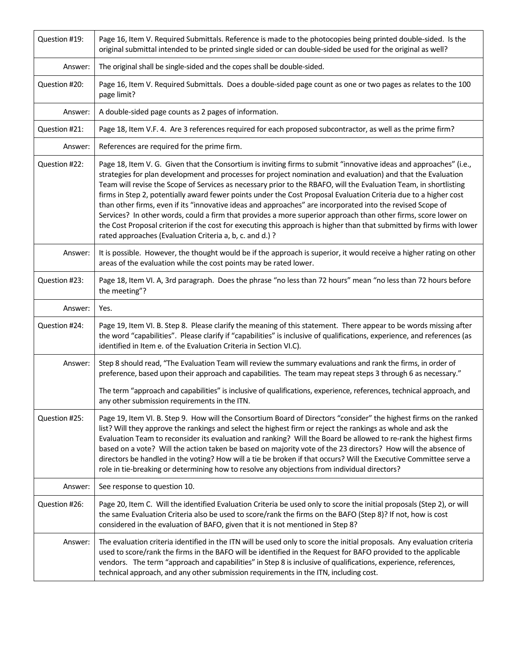| Question #19: | Page 16, Item V. Required Submittals. Reference is made to the photocopies being printed double-sided. Is the<br>original submittal intended to be printed single sided or can double-sided be used for the original as well?                                                                                                                                                                                                                                                                                                                                                                                                                                                                                                                                                                                                                                                                   |
|---------------|-------------------------------------------------------------------------------------------------------------------------------------------------------------------------------------------------------------------------------------------------------------------------------------------------------------------------------------------------------------------------------------------------------------------------------------------------------------------------------------------------------------------------------------------------------------------------------------------------------------------------------------------------------------------------------------------------------------------------------------------------------------------------------------------------------------------------------------------------------------------------------------------------|
| Answer:       | The original shall be single-sided and the copes shall be double-sided.                                                                                                                                                                                                                                                                                                                                                                                                                                                                                                                                                                                                                                                                                                                                                                                                                         |
| Question #20: | Page 16, Item V. Required Submittals. Does a double-sided page count as one or two pages as relates to the 100<br>page limit?                                                                                                                                                                                                                                                                                                                                                                                                                                                                                                                                                                                                                                                                                                                                                                   |
| Answer:       | A double-sided page counts as 2 pages of information.                                                                                                                                                                                                                                                                                                                                                                                                                                                                                                                                                                                                                                                                                                                                                                                                                                           |
| Question #21: | Page 18, Item V.F. 4. Are 3 references required for each proposed subcontractor, as well as the prime firm?                                                                                                                                                                                                                                                                                                                                                                                                                                                                                                                                                                                                                                                                                                                                                                                     |
| Answer:       | References are required for the prime firm.                                                                                                                                                                                                                                                                                                                                                                                                                                                                                                                                                                                                                                                                                                                                                                                                                                                     |
| Question #22: | Page 18, Item V. G. Given that the Consortium is inviting firms to submit "innovative ideas and approaches" (i.e.,<br>strategies for plan development and processes for project nomination and evaluation) and that the Evaluation<br>Team will revise the Scope of Services as necessary prior to the RBAFO, will the Evaluation Team, in shortlisting<br>firms in Step 2, potentially award fewer points under the Cost Proposal Evaluation Criteria due to a higher cost<br>than other firms, even if its "innovative ideas and approaches" are incorporated into the revised Scope of<br>Services? In other words, could a firm that provides a more superior approach than other firms, score lower on<br>the Cost Proposal criterion if the cost for executing this approach is higher than that submitted by firms with lower<br>rated approaches (Evaluation Criteria a, b, c. and d.)? |
| Answer:       | It is possible. However, the thought would be if the approach is superior, it would receive a higher rating on other<br>areas of the evaluation while the cost points may be rated lower.                                                                                                                                                                                                                                                                                                                                                                                                                                                                                                                                                                                                                                                                                                       |
| Question #23: | Page 18, Item VI. A, 3rd paragraph. Does the phrase "no less than 72 hours" mean "no less than 72 hours before<br>the meeting"?                                                                                                                                                                                                                                                                                                                                                                                                                                                                                                                                                                                                                                                                                                                                                                 |
| Answer:       | Yes.                                                                                                                                                                                                                                                                                                                                                                                                                                                                                                                                                                                                                                                                                                                                                                                                                                                                                            |
| Question #24: | Page 19, Item VI. B. Step 8. Please clarify the meaning of this statement. There appear to be words missing after<br>the word "capabilities". Please clarify if "capabilities" is inclusive of qualifications, experience, and references (as<br>identified in Item e. of the Evaluation Criteria in Section VI.C).                                                                                                                                                                                                                                                                                                                                                                                                                                                                                                                                                                             |
| Answer:       | Step 8 should read, "The Evaluation Team will review the summary evaluations and rank the firms, in order of<br>preference, based upon their approach and capabilities. The team may repeat steps 3 through 6 as necessary."                                                                                                                                                                                                                                                                                                                                                                                                                                                                                                                                                                                                                                                                    |
|               | The term "approach and capabilities" is inclusive of qualifications, experience, references, technical approach, and<br>any other submission requirements in the ITN.                                                                                                                                                                                                                                                                                                                                                                                                                                                                                                                                                                                                                                                                                                                           |
| Question #25: | Page 19, Item VI. B. Step 9. How will the Consortium Board of Directors "consider" the highest firms on the ranked<br>list? Will they approve the rankings and select the highest firm or reject the rankings as whole and ask the<br>Evaluation Team to reconsider its evaluation and ranking? Will the Board be allowed to re-rank the highest firms<br>based on a vote? Will the action taken be based on majority vote of the 23 directors? How will the absence of<br>directors be handled in the voting? How will a tie be broken if that occurs? Will the Executive Committee serve a<br>role in tie-breaking or determining how to resolve any objections from individual directors?                                                                                                                                                                                                    |
| Answer:       | See response to question 10.                                                                                                                                                                                                                                                                                                                                                                                                                                                                                                                                                                                                                                                                                                                                                                                                                                                                    |
| Question #26: | Page 20, Item C. Will the identified Evaluation Criteria be used only to score the initial proposals (Step 2), or will<br>the same Evaluation Criteria also be used to score/rank the firms on the BAFO (Step 8)? If not, how is cost<br>considered in the evaluation of BAFO, given that it is not mentioned in Step 8?                                                                                                                                                                                                                                                                                                                                                                                                                                                                                                                                                                        |
| Answer:       | The evaluation criteria identified in the ITN will be used only to score the initial proposals. Any evaluation criteria<br>used to score/rank the firms in the BAFO will be identified in the Request for BAFO provided to the applicable<br>vendors. The term "approach and capabilities" in Step 8 is inclusive of qualifications, experience, references,<br>technical approach, and any other submission requirements in the ITN, including cost.                                                                                                                                                                                                                                                                                                                                                                                                                                           |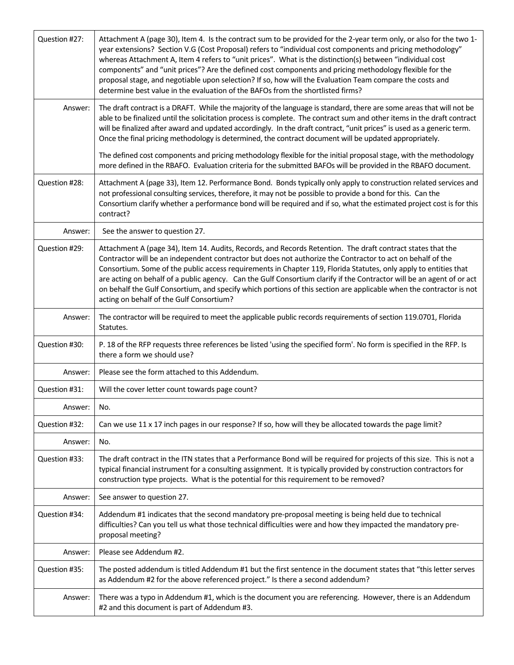| Question #27: | Attachment A (page 30), Item 4. Is the contract sum to be provided for the 2-year term only, or also for the two 1-<br>year extensions? Section V.G (Cost Proposal) refers to "individual cost components and pricing methodology"<br>whereas Attachment A, Item 4 refers to "unit prices". What is the distinction(s) between "individual cost<br>components" and "unit prices"? Are the defined cost components and pricing methodology flexible for the<br>proposal stage, and negotiable upon selection? If so, how will the Evaluation Team compare the costs and<br>determine best value in the evaluation of the BAFOs from the shortlisted firms? |
|---------------|-----------------------------------------------------------------------------------------------------------------------------------------------------------------------------------------------------------------------------------------------------------------------------------------------------------------------------------------------------------------------------------------------------------------------------------------------------------------------------------------------------------------------------------------------------------------------------------------------------------------------------------------------------------|
| Answer:       | The draft contract is a DRAFT. While the majority of the language is standard, there are some areas that will not be<br>able to be finalized until the solicitation process is complete. The contract sum and other items in the draft contract<br>will be finalized after award and updated accordingly. In the draft contract, "unit prices" is used as a generic term.<br>Once the final pricing methodology is determined, the contract document will be updated appropriately.                                                                                                                                                                       |
|               | The defined cost components and pricing methodology flexible for the initial proposal stage, with the methodology<br>more defined in the RBAFO. Evaluation criteria for the submitted BAFOs will be provided in the RBAFO document.                                                                                                                                                                                                                                                                                                                                                                                                                       |
| Question #28: | Attachment A (page 33), Item 12. Performance Bond. Bonds typically only apply to construction related services and<br>not professional consulting services, therefore, it may not be possible to provide a bond for this. Can the<br>Consortium clarify whether a performance bond will be required and if so, what the estimated project cost is for this<br>contract?                                                                                                                                                                                                                                                                                   |
| Answer:       | See the answer to question 27.                                                                                                                                                                                                                                                                                                                                                                                                                                                                                                                                                                                                                            |
| Question #29: | Attachment A (page 34), Item 14. Audits, Records, and Records Retention. The draft contract states that the<br>Contractor will be an independent contractor but does not authorize the Contractor to act on behalf of the<br>Consortium. Some of the public access requirements in Chapter 119, Florida Statutes, only apply to entities that<br>are acting on behalf of a public agency. Can the Gulf Consortium clarify if the Contractor will be an agent of or act<br>on behalf the Gulf Consortium, and specify which portions of this section are applicable when the contractor is not<br>acting on behalf of the Gulf Consortium?                 |
| Answer:       | The contractor will be required to meet the applicable public records requirements of section 119.0701, Florida<br>Statutes.                                                                                                                                                                                                                                                                                                                                                                                                                                                                                                                              |
| Question #30: | P. 18 of the RFP requests three references be listed 'using the specified form'. No form is specified in the RFP. Is<br>there a form we should use?                                                                                                                                                                                                                                                                                                                                                                                                                                                                                                       |
| Answer:       | Please see the form attached to this Addendum.                                                                                                                                                                                                                                                                                                                                                                                                                                                                                                                                                                                                            |
| Question #31: | Will the cover letter count towards page count?                                                                                                                                                                                                                                                                                                                                                                                                                                                                                                                                                                                                           |
| Answer:       | No.                                                                                                                                                                                                                                                                                                                                                                                                                                                                                                                                                                                                                                                       |
| Question #32: | Can we use 11 x 17 inch pages in our response? If so, how will they be allocated towards the page limit?                                                                                                                                                                                                                                                                                                                                                                                                                                                                                                                                                  |
| Answer:       | No.                                                                                                                                                                                                                                                                                                                                                                                                                                                                                                                                                                                                                                                       |
| Question #33: | The draft contract in the ITN states that a Performance Bond will be required for projects of this size. This is not a<br>typical financial instrument for a consulting assignment. It is typically provided by construction contractors for<br>construction type projects. What is the potential for this requirement to be removed?                                                                                                                                                                                                                                                                                                                     |
| Answer:       | See answer to question 27.                                                                                                                                                                                                                                                                                                                                                                                                                                                                                                                                                                                                                                |
| Question #34: | Addendum #1 indicates that the second mandatory pre-proposal meeting is being held due to technical<br>difficulties? Can you tell us what those technical difficulties were and how they impacted the mandatory pre-<br>proposal meeting?                                                                                                                                                                                                                                                                                                                                                                                                                 |
| Answer:       | Please see Addendum #2.                                                                                                                                                                                                                                                                                                                                                                                                                                                                                                                                                                                                                                   |
| Question #35: | The posted addendum is titled Addendum #1 but the first sentence in the document states that "this letter serves<br>as Addendum #2 for the above referenced project." Is there a second addendum?                                                                                                                                                                                                                                                                                                                                                                                                                                                         |
| Answer:       | There was a typo in Addendum #1, which is the document you are referencing. However, there is an Addendum<br>#2 and this document is part of Addendum #3.                                                                                                                                                                                                                                                                                                                                                                                                                                                                                                 |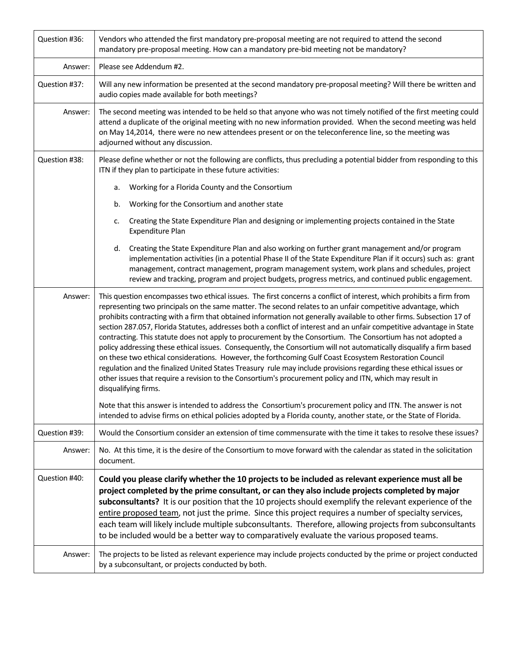| Question #36: | Vendors who attended the first mandatory pre-proposal meeting are not required to attend the second<br>mandatory pre-proposal meeting. How can a mandatory pre-bid meeting not be mandatory?                                                                                                                                                                                                                                                                                                                                                                                                                                                                                                                                                                                                                                                                                                                                                                                                                                                                                                                                                                                                                                                                                                                                       |
|---------------|------------------------------------------------------------------------------------------------------------------------------------------------------------------------------------------------------------------------------------------------------------------------------------------------------------------------------------------------------------------------------------------------------------------------------------------------------------------------------------------------------------------------------------------------------------------------------------------------------------------------------------------------------------------------------------------------------------------------------------------------------------------------------------------------------------------------------------------------------------------------------------------------------------------------------------------------------------------------------------------------------------------------------------------------------------------------------------------------------------------------------------------------------------------------------------------------------------------------------------------------------------------------------------------------------------------------------------|
| Answer:       | Please see Addendum #2.                                                                                                                                                                                                                                                                                                                                                                                                                                                                                                                                                                                                                                                                                                                                                                                                                                                                                                                                                                                                                                                                                                                                                                                                                                                                                                            |
| Question #37: | Will any new information be presented at the second mandatory pre-proposal meeting? Will there be written and<br>audio copies made available for both meetings?                                                                                                                                                                                                                                                                                                                                                                                                                                                                                                                                                                                                                                                                                                                                                                                                                                                                                                                                                                                                                                                                                                                                                                    |
| Answer:       | The second meeting was intended to be held so that anyone who was not timely notified of the first meeting could<br>attend a duplicate of the original meeting with no new information provided. When the second meeting was held<br>on May 14,2014, there were no new attendees present or on the teleconference line, so the meeting was<br>adjourned without any discussion.                                                                                                                                                                                                                                                                                                                                                                                                                                                                                                                                                                                                                                                                                                                                                                                                                                                                                                                                                    |
| Question #38: | Please define whether or not the following are conflicts, thus precluding a potential bidder from responding to this<br>ITN if they plan to participate in these future activities:                                                                                                                                                                                                                                                                                                                                                                                                                                                                                                                                                                                                                                                                                                                                                                                                                                                                                                                                                                                                                                                                                                                                                |
|               | Working for a Florida County and the Consortium<br>a.                                                                                                                                                                                                                                                                                                                                                                                                                                                                                                                                                                                                                                                                                                                                                                                                                                                                                                                                                                                                                                                                                                                                                                                                                                                                              |
|               | Working for the Consortium and another state<br>b.                                                                                                                                                                                                                                                                                                                                                                                                                                                                                                                                                                                                                                                                                                                                                                                                                                                                                                                                                                                                                                                                                                                                                                                                                                                                                 |
|               | Creating the State Expenditure Plan and designing or implementing projects contained in the State<br>c.<br>Expenditure Plan                                                                                                                                                                                                                                                                                                                                                                                                                                                                                                                                                                                                                                                                                                                                                                                                                                                                                                                                                                                                                                                                                                                                                                                                        |
|               | Creating the State Expenditure Plan and also working on further grant management and/or program<br>d.<br>implementation activities (in a potential Phase II of the State Expenditure Plan if it occurs) such as: grant<br>management, contract management, program management system, work plans and schedules, project<br>review and tracking, program and project budgets, progress metrics, and continued public engagement.                                                                                                                                                                                                                                                                                                                                                                                                                                                                                                                                                                                                                                                                                                                                                                                                                                                                                                    |
| Answer:       | This question encompasses two ethical issues. The first concerns a conflict of interest, which prohibits a firm from<br>representing two principals on the same matter. The second relates to an unfair competitive advantage, which<br>prohibits contracting with a firm that obtained information not generally available to other firms. Subsection 17 of<br>section 287.057, Florida Statutes, addresses both a conflict of interest and an unfair competitive advantage in State<br>contracting. This statute does not apply to procurement by the Consortium. The Consortium has not adopted a<br>policy addressing these ethical issues. Consequently, the Consortium will not automatically disqualify a firm based<br>on these two ethical considerations. However, the forthcoming Gulf Coast Ecosystem Restoration Council<br>regulation and the finalized United States Treasury rule may include provisions regarding these ethical issues or<br>other issues that require a revision to the Consortium's procurement policy and ITN, which may result in<br>disqualifying firms.<br>Note that this answer is intended to address the Consortium's procurement policy and ITN. The answer is not<br>intended to advise firms on ethical policies adopted by a Florida county, another state, or the State of Florida. |
| Question #39: | Would the Consortium consider an extension of time commensurate with the time it takes to resolve these issues?                                                                                                                                                                                                                                                                                                                                                                                                                                                                                                                                                                                                                                                                                                                                                                                                                                                                                                                                                                                                                                                                                                                                                                                                                    |
| Answer:       | No. At this time, it is the desire of the Consortium to move forward with the calendar as stated in the solicitation<br>document.                                                                                                                                                                                                                                                                                                                                                                                                                                                                                                                                                                                                                                                                                                                                                                                                                                                                                                                                                                                                                                                                                                                                                                                                  |
| Question #40: | Could you please clarify whether the 10 projects to be included as relevant experience must all be<br>project completed by the prime consultant, or can they also include projects completed by major<br>subconsultants? It is our position that the 10 projects should exemplify the relevant experience of the<br>entire proposed team, not just the prime. Since this project requires a number of specialty services,<br>each team will likely include multiple subconsultants. Therefore, allowing projects from subconsultants<br>to be included would be a better way to comparatively evaluate the various proposed teams.                                                                                                                                                                                                                                                                                                                                                                                                                                                                                                                                                                                                                                                                                                 |
| Answer:       | The projects to be listed as relevant experience may include projects conducted by the prime or project conducted<br>by a subconsultant, or projects conducted by both.                                                                                                                                                                                                                                                                                                                                                                                                                                                                                                                                                                                                                                                                                                                                                                                                                                                                                                                                                                                                                                                                                                                                                            |